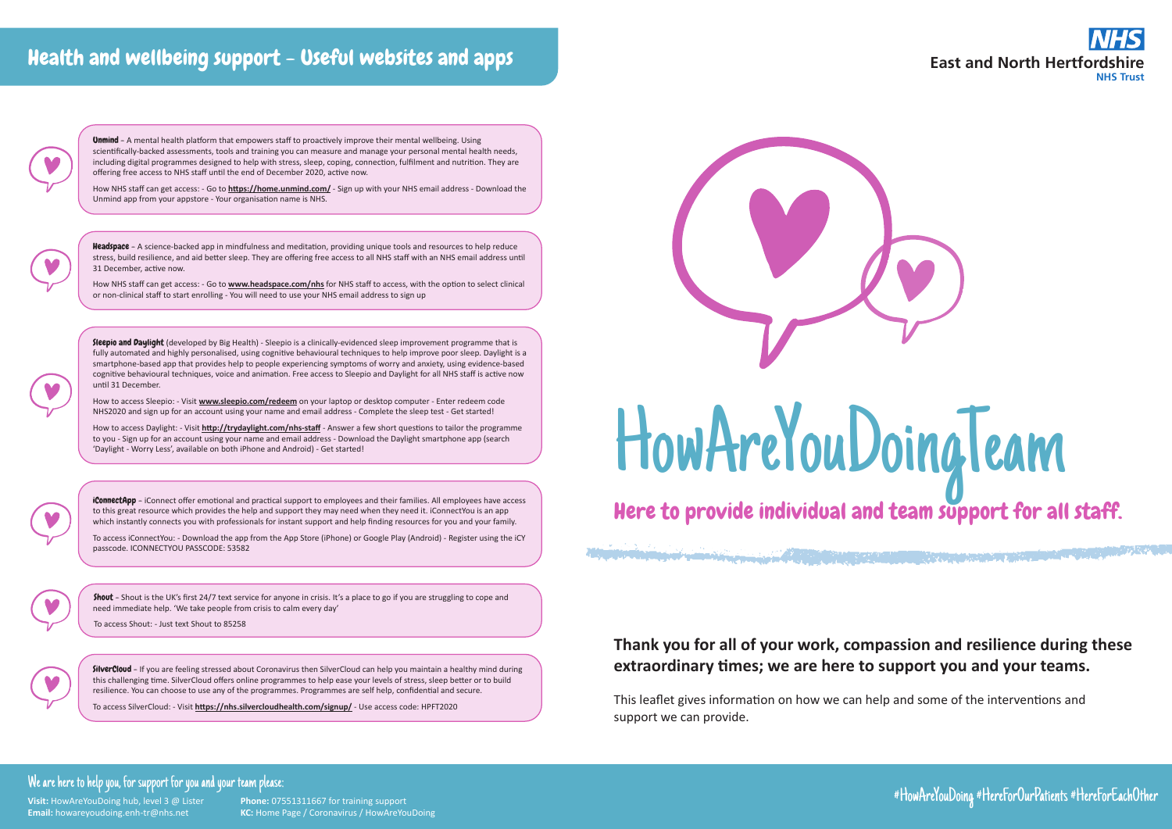



# **Thank you for all of your work, compassion and resilience during these extraordinary times; we are here to support you and your teams.**

This leaflet gives information on how we can help and some of the interventions and support we can provide.

#### We are here to help you, for support for you and your team please:

**Visit:** HowAreYouDoing hub, level 3 @ Lister **Phone:** 07551311667 for training support

**Email:** howareyoudoing.enh-tr@nhs.net **KC:** Home Page / Coronavirus / HowAreYouDoing

#HowAreYouDoing #HereForOurPatients #HereForEachOther

# Health and wellbeing support - Useful websites and apps



**Unmind** - A mental health platform that empowers staff to proactively improve their mental wellbeing. Using scientifically-backed assessments, tools and training you can measure and manage your personal mental health needs, including digital programmes designed to help with stress, sleep, coping, connection, fulfilment and nutrition. They are offering free access to NHS staff until the end of December 2020, active now.

# HowAreYouDoingTeam Here to provide individual and team support for all staff.

Alternative and the second the property of the second second second second and the second of the second second second

Headspace - A science-backed app in mindfulness and meditation, providing unique tools and resources to help reduce stress, build resilience, and aid better sleep. They are offering free access to all NHS staff with an NHS email address until 31 December, active now.

Sleepio and Daylight (developed by Big Health) - Sleepio is a clinically-evidenced sleep improvement programme that is fully automated and highly personalised, using cognitive behavioural techniques to help improve poor sleep. Daylight is a smartphone-based app that provides help to people experiencing symptoms of worry and anxiety, using evidence-based cognitive behavioural techniques, voice and animation. Free access to Sleepio and Daylight for all NHS staff is active now until 31 December.

How NHS staff can get access: - Go to **<https://home.unmind.com/>** - Sign up with your NHS email address - Download the Unmind app from your appstore - Your organisation name is NHS.

**iConnectApp** - iConnect offer emotional and practical support to employees and their families. All employees have access to this great resource which provides the help and support they may need when they need it. iConnectYou is an app which instantly connects you with professionals for instant support and help finding resources for you and your family.

How NHS staff can get access: - Go to **[www.headspace.com/nhs](https://www.headspace.com/nhs)** for NHS staff to access, with the option to select clinical or non-clinical staff to start enrolling - You will need to use your NHS email address to sign up

Shout - Shout is the UK's first 24/7 text service for anyone in crisis. It's a place to go if you are struggling to cope and need immediate help. 'We take people from crisis to calm every day'

SilverCloud - If you are feeling stressed about Coronavirus then SilverCloud can help you maintain a healthy mind during this challenging time. SilverCloud offers online programmes to help ease your levels of stress, sleep better or to build resilience. You can choose to use any of the programmes. Programmes are self help, confidential and secure.

How to access Sleepio: - Visit **[www.sleepio.com/redeem](http://www.sleepio.com/redeem)** on your laptop or desktop computer - Enter redeem code NHS2020 and sign up for an account using your name and email address - Complete the sleep test - Get started!

How to access Daylight: - Visit **<http://trydaylight.com/nhs-staff>** - Answer a few short questions to tailor the programme to you - Sign up for an account using your name and email address - Download the Daylight smartphone app (search 'Daylight - Worry Less', available on both iPhone and Android) - Get started!

To access iConnectYou: - Download the app from the App Store (iPhone) or Google Play (Android) - Register using the iCY passcode. ICONNECTYOU PASSCODE: 53582



To access Shout: - Just text Shout to 85258

To access SilverCloud: - Visit **<https://nhs.silvercloudhealth.com/signup/>** - Use access code: HPFT2020